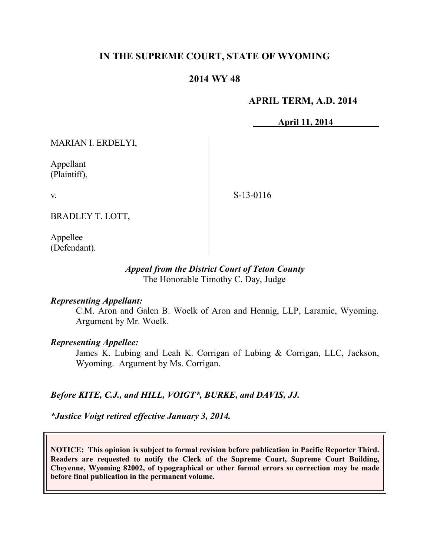## **IN THE SUPREME COURT, STATE OF WYOMING**

## **2014 WY 48**

### **APRIL TERM, A.D. 2014**

**April 11, 2014**

MARIAN I. ERDELYI,

Appellant (Plaintiff),

v.

S-13-0116

BRADLEY T. LOTT,

Appellee (Defendant).

### *Appeal from the District Court of Teton County* The Honorable Timothy C. Day, Judge

### *Representing Appellant:*

C.M. Aron and Galen B. Woelk of Aron and Hennig, LLP, Laramie, Wyoming. Argument by Mr. Woelk.

### *Representing Appellee:*

James K. Lubing and Leah K. Corrigan of Lubing & Corrigan, LLC, Jackson, Wyoming. Argument by Ms. Corrigan.

### *Before KITE, C.J., and HILL, VOIGT\*, BURKE, and DAVIS, JJ.*

*\*Justice Voigt retired effective January 3, 2014.*

**NOTICE: This opinion is subject to formal revision before publication in Pacific Reporter Third. Readers are requested to notify the Clerk of the Supreme Court, Supreme Court Building, Cheyenne, Wyoming 82002, of typographical or other formal errors so correction may be made before final publication in the permanent volume.**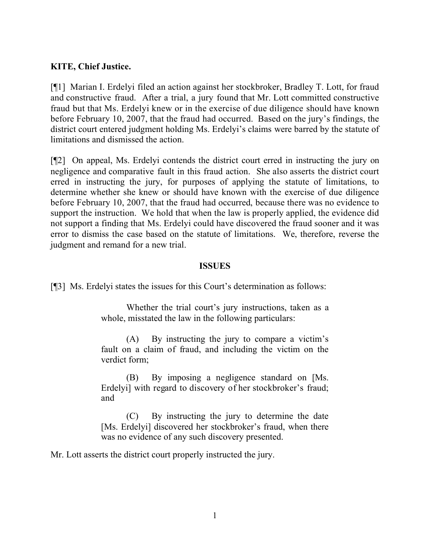### **KITE, Chief Justice.**

[¶1] Marian I. Erdelyi filed an action against her stockbroker, Bradley T. Lott, for fraud and constructive fraud. After a trial, a jury found that Mr. Lott committed constructive fraud but that Ms. Erdelyi knew or in the exercise of due diligence should have known before February 10, 2007, that the fraud had occurred. Based on the jury's findings, the district court entered judgment holding Ms. Erdelyi's claims were barred by the statute of limitations and dismissed the action.

[¶2] On appeal, Ms. Erdelyi contends the district court erred in instructing the jury on negligence and comparative fault in this fraud action. She also asserts the district court erred in instructing the jury, for purposes of applying the statute of limitations, to determine whether she knew or should have known with the exercise of due diligence before February 10, 2007, that the fraud had occurred, because there was no evidence to support the instruction. We hold that when the law is properly applied, the evidence did not support a finding that Ms. Erdelyi could have discovered the fraud sooner and it was error to dismiss the case based on the statute of limitations. We, therefore, reverse the judgment and remand for a new trial.

#### **ISSUES**

[¶3] Ms. Erdelyi states the issues for this Court's determination as follows:

Whether the trial court's jury instructions, taken as a whole, misstated the law in the following particulars:

(A) By instructing the jury to compare a victim's fault on a claim of fraud, and including the victim on the verdict form;

(B) By imposing a negligence standard on [Ms. Erdelyi] with regard to discovery of her stockbroker's fraud; and

(C) By instructing the jury to determine the date [Ms. Erdelyi] discovered her stockbroker's fraud, when there was no evidence of any such discovery presented.

Mr. Lott asserts the district court properly instructed the jury.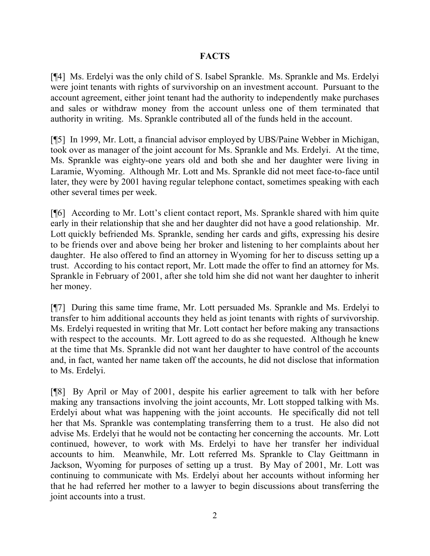## **FACTS**

[¶4] Ms. Erdelyi was the only child of S. Isabel Sprankle. Ms. Sprankle and Ms. Erdelyi were joint tenants with rights of survivorship on an investment account. Pursuant to the account agreement, either joint tenant had the authority to independently make purchases and sales or withdraw money from the account unless one of them terminated that authority in writing. Ms. Sprankle contributed all of the funds held in the account.

[¶5] In 1999, Mr. Lott, a financial advisor employed by UBS/Paine Webber in Michigan, took over as manager of the joint account for Ms. Sprankle and Ms. Erdelyi. At the time, Ms. Sprankle was eighty-one years old and both she and her daughter were living in Laramie, Wyoming. Although Mr. Lott and Ms. Sprankle did not meet face-to-face until later, they were by 2001 having regular telephone contact, sometimes speaking with each other several times per week.

[¶6] According to Mr. Lott's client contact report, Ms. Sprankle shared with him quite early in their relationship that she and her daughter did not have a good relationship. Mr. Lott quickly befriended Ms. Sprankle, sending her cards and gifts, expressing his desire to be friends over and above being her broker and listening to her complaints about her daughter. He also offered to find an attorney in Wyoming for her to discuss setting up a trust. According to his contact report, Mr. Lott made the offer to find an attorney for Ms. Sprankle in February of 2001, after she told him she did not want her daughter to inherit her money.

[¶7] During this same time frame, Mr. Lott persuaded Ms. Sprankle and Ms. Erdelyi to transfer to him additional accounts they held as joint tenants with rights of survivorship. Ms. Erdelyi requested in writing that Mr. Lott contact her before making any transactions with respect to the accounts. Mr. Lott agreed to do as she requested. Although he knew at the time that Ms. Sprankle did not want her daughter to have control of the accounts and, in fact, wanted her name taken off the accounts, he did not disclose that information to Ms. Erdelyi.

[¶8] By April or May of 2001, despite his earlier agreement to talk with her before making any transactions involving the joint accounts, Mr. Lott stopped talking with Ms. Erdelyi about what was happening with the joint accounts. He specifically did not tell her that Ms. Sprankle was contemplating transferring them to a trust. He also did not advise Ms. Erdelyi that he would not be contacting her concerning the accounts. Mr. Lott continued, however, to work with Ms. Erdelyi to have her transfer her individual accounts to him. Meanwhile, Mr. Lott referred Ms. Sprankle to Clay Geittmann in Jackson, Wyoming for purposes of setting up a trust. By May of 2001, Mr. Lott was continuing to communicate with Ms. Erdelyi about her accounts without informing her that he had referred her mother to a lawyer to begin discussions about transferring the joint accounts into a trust.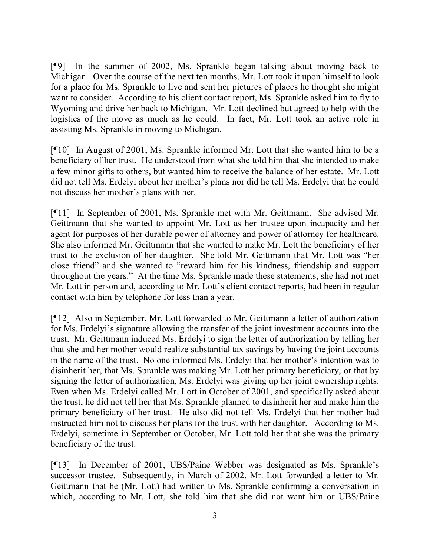[¶9] In the summer of 2002, Ms. Sprankle began talking about moving back to Michigan. Over the course of the next ten months, Mr. Lott took it upon himself to look for a place for Ms. Sprankle to live and sent her pictures of places he thought she might want to consider. According to his client contact report, Ms. Sprankle asked him to fly to Wyoming and drive her back to Michigan. Mr. Lott declined but agreed to help with the logistics of the move as much as he could. In fact, Mr. Lott took an active role in assisting Ms. Sprankle in moving to Michigan.

[¶10] In August of 2001, Ms. Sprankle informed Mr. Lott that she wanted him to be a beneficiary of her trust. He understood from what she told him that she intended to make a few minor gifts to others, but wanted him to receive the balance of her estate. Mr. Lott did not tell Ms. Erdelyi about her mother's plans nor did he tell Ms. Erdelyi that he could not discuss her mother's plans with her.

[¶11] In September of 2001, Ms. Sprankle met with Mr. Geittmann. She advised Mr. Geittmann that she wanted to appoint Mr. Lott as her trustee upon incapacity and her agent for purposes of her durable power of attorney and power of attorney for healthcare. She also informed Mr. Geittmann that she wanted to make Mr. Lott the beneficiary of her trust to the exclusion of her daughter. She told Mr. Geittmann that Mr. Lott was "her close friend" and she wanted to "reward him for his kindness, friendship and support throughout the years." At the time Ms. Sprankle made these statements, she had not met Mr. Lott in person and, according to Mr. Lott's client contact reports, had been in regular contact with him by telephone for less than a year.

[¶12] Also in September, Mr. Lott forwarded to Mr. Geittmann a letter of authorization for Ms. Erdelyi's signature allowing the transfer of the joint investment accounts into the trust. Mr. Geittmann induced Ms. Erdelyi to sign the letter of authorization by telling her that she and her mother would realize substantial tax savings by having the joint accounts in the name of the trust. No one informed Ms. Erdelyi that her mother's intention was to disinherit her, that Ms. Sprankle was making Mr. Lott her primary beneficiary, or that by signing the letter of authorization, Ms. Erdelyi was giving up her joint ownership rights. Even when Ms. Erdelyi called Mr. Lott in October of 2001, and specifically asked about the trust, he did not tell her that Ms. Sprankle planned to disinherit her and make him the primary beneficiary of her trust. He also did not tell Ms. Erdelyi that her mother had instructed him not to discuss her plans for the trust with her daughter. According to Ms. Erdelyi, sometime in September or October, Mr. Lott told her that she was the primary beneficiary of the trust.

[¶13] In December of 2001, UBS/Paine Webber was designated as Ms. Sprankle's successor trustee. Subsequently, in March of 2002, Mr. Lott forwarded a letter to Mr. Geittmann that he (Mr. Lott) had written to Ms. Sprankle confirming a conversation in which, according to Mr. Lott, she told him that she did not want him or UBS/Paine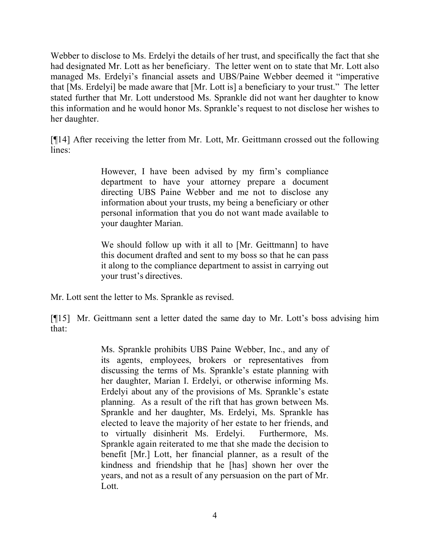Webber to disclose to Ms. Erdelyi the details of her trust, and specifically the fact that she had designated Mr. Lott as her beneficiary. The letter went on to state that Mr. Lott also managed Ms. Erdelyi's financial assets and UBS/Paine Webber deemed it "imperative that [Ms. Erdelyi] be made aware that [Mr. Lott is] a beneficiary to your trust." The letter stated further that Mr. Lott understood Ms. Sprankle did not want her daughter to know this information and he would honor Ms. Sprankle's request to not disclose her wishes to her daughter.

[¶14] After receiving the letter from Mr. Lott, Mr. Geittmann crossed out the following lines:

> However, I have been advised by my firm's compliance department to have your attorney prepare a document directing UBS Paine Webber and me not to disclose any information about your trusts, my being a beneficiary or other personal information that you do not want made available to your daughter Marian.

> We should follow up with it all to [Mr. Geittmann] to have this document drafted and sent to my boss so that he can pass it along to the compliance department to assist in carrying out your trust's directives.

Mr. Lott sent the letter to Ms. Sprankle as revised.

[¶15] Mr. Geittmann sent a letter dated the same day to Mr. Lott's boss advising him that:

> Ms. Sprankle prohibits UBS Paine Webber, Inc., and any of its agents, employees, brokers or representatives from discussing the terms of Ms. Sprankle's estate planning with her daughter, Marian I. Erdelyi, or otherwise informing Ms. Erdelyi about any of the provisions of Ms. Sprankle's estate planning. As a result of the rift that has grown between Ms. Sprankle and her daughter, Ms. Erdelyi, Ms. Sprankle has elected to leave the majority of her estate to her friends, and to virtually disinherit Ms. Erdelyi. Furthermore, Ms. Sprankle again reiterated to me that she made the decision to benefit [Mr.] Lott, her financial planner, as a result of the kindness and friendship that he [has] shown her over the years, and not as a result of any persuasion on the part of Mr. Lott.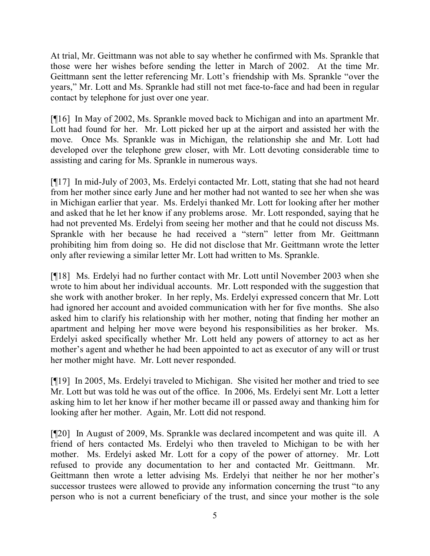At trial, Mr. Geittmann was not able to say whether he confirmed with Ms. Sprankle that those were her wishes before sending the letter in March of 2002. At the time Mr. Geittmann sent the letter referencing Mr. Lott's friendship with Ms. Sprankle "over the years," Mr. Lott and Ms. Sprankle had still not met face-to-face and had been in regular contact by telephone for just over one year.

[¶16] In May of 2002, Ms. Sprankle moved back to Michigan and into an apartment Mr. Lott had found for her. Mr. Lott picked her up at the airport and assisted her with the move. Once Ms. Sprankle was in Michigan, the relationship she and Mr. Lott had developed over the telephone grew closer, with Mr. Lott devoting considerable time to assisting and caring for Ms. Sprankle in numerous ways.

[¶17] In mid-July of 2003, Ms. Erdelyi contacted Mr. Lott, stating that she had not heard from her mother since early June and her mother had not wanted to see her when she was in Michigan earlier that year. Ms. Erdelyi thanked Mr. Lott for looking after her mother and asked that he let her know if any problems arose. Mr. Lott responded, saying that he had not prevented Ms. Erdelyi from seeing her mother and that he could not discuss Ms. Sprankle with her because he had received a "stern" letter from Mr. Geittmann prohibiting him from doing so. He did not disclose that Mr. Geittmann wrote the letter only after reviewing a similar letter Mr. Lott had written to Ms. Sprankle.

[¶18] Ms. Erdelyi had no further contact with Mr. Lott until November 2003 when she wrote to him about her individual accounts. Mr. Lott responded with the suggestion that she work with another broker. In her reply, Ms. Erdelyi expressed concern that Mr. Lott had ignored her account and avoided communication with her for five months. She also asked him to clarify his relationship with her mother, noting that finding her mother an apartment and helping her move were beyond his responsibilities as her broker. Ms. Erdelyi asked specifically whether Mr. Lott held any powers of attorney to act as her mother's agent and whether he had been appointed to act as executor of any will or trust her mother might have. Mr. Lott never responded.

[¶19] In 2005, Ms. Erdelyi traveled to Michigan. She visited her mother and tried to see Mr. Lott but was told he was out of the office. In 2006, Ms. Erdelyi sent Mr. Lott a letter asking him to let her know if her mother became ill or passed away and thanking him for looking after her mother. Again, Mr. Lott did not respond.

[¶20] In August of 2009, Ms. Sprankle was declared incompetent and was quite ill. A friend of hers contacted Ms. Erdelyi who then traveled to Michigan to be with her mother. Ms. Erdelyi asked Mr. Lott for a copy of the power of attorney. Mr. Lott refused to provide any documentation to her and contacted Mr. Geittmann. Mr. Geittmann then wrote a letter advising Ms. Erdelyi that neither he nor her mother's successor trustees were allowed to provide any information concerning the trust "to any person who is not a current beneficiary of the trust, and since your mother is the sole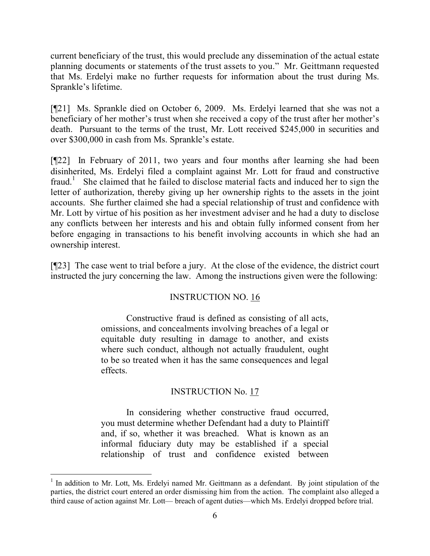current beneficiary of the trust, this would preclude any dissemination of the actual estate planning documents or statements of the trust assets to you." Mr. Geittmann requested that Ms. Erdelyi make no further requests for information about the trust during Ms. Sprankle's lifetime.

[¶21] Ms. Sprankle died on October 6, 2009. Ms. Erdelyi learned that she was not a beneficiary of her mother's trust when she received a copy of the trust after her mother's death. Pursuant to the terms of the trust, Mr. Lott received \$245,000 in securities and over \$300,000 in cash from Ms. Sprankle's estate.

[¶22] In February of 2011, two years and four months after learning she had been disinherited, Ms. Erdelyi filed a complaint against Mr. Lott for fraud and constructive fraud.<sup>1</sup> She claimed that he failed to disclose material facts and induced her to sign the letter of authorization, thereby giving up her ownership rights to the assets in the joint accounts. She further claimed she had a special relationship of trust and confidence with Mr. Lott by virtue of his position as her investment adviser and he had a duty to disclose any conflicts between her interests and his and obtain fully informed consent from her before engaging in transactions to his benefit involving accounts in which she had an ownership interest.

[¶23] The case went to trial before a jury. At the close of the evidence, the district court instructed the jury concerning the law. Among the instructions given were the following:

## INSTRUCTION NO. 16

Constructive fraud is defined as consisting of all acts, omissions, and concealments involving breaches of a legal or equitable duty resulting in damage to another, and exists where such conduct, although not actually fraudulent, ought to be so treated when it has the same consequences and legal effects.

# INSTRUCTION No. 17

In considering whether constructive fraud occurred, you must determine whether Defendant had a duty to Plaintiff and, if so, whether it was breached. What is known as an informal fiduciary duty may be established if a special relationship of trust and confidence existed between

<sup>&</sup>lt;sup>1</sup> In addition to Mr. Lott, Ms. Erdelyi named Mr. Geittmann as a defendant. By joint stipulation of the parties, the district court entered an order dismissing him from the action. The complaint also alleged a third cause of action against Mr. Lott— breach of agent duties—which Ms. Erdelyi dropped before trial.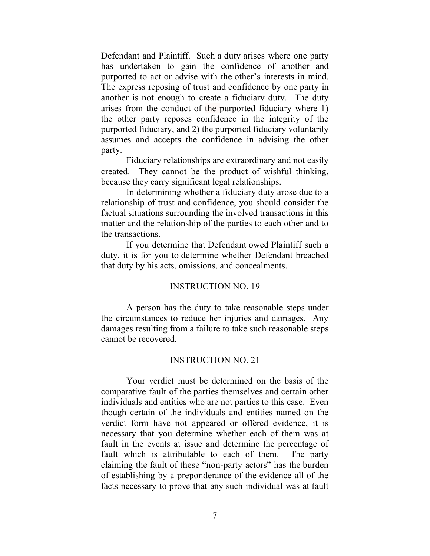Defendant and Plaintiff. Such a duty arises where one party has undertaken to gain the confidence of another and purported to act or advise with the other's interests in mind. The express reposing of trust and confidence by one party in another is not enough to create a fiduciary duty. The duty arises from the conduct of the purported fiduciary where 1) the other party reposes confidence in the integrity of the purported fiduciary, and 2) the purported fiduciary voluntarily assumes and accepts the confidence in advising the other party.

Fiduciary relationships are extraordinary and not easily created. They cannot be the product of wishful thinking, because they carry significant legal relationships.

In determining whether a fiduciary duty arose due to a relationship of trust and confidence, you should consider the factual situations surrounding the involved transactions in this matter and the relationship of the parties to each other and to the transactions.

If you determine that Defendant owed Plaintiff such a duty, it is for you to determine whether Defendant breached that duty by his acts, omissions, and concealments.

### INSTRUCTION NO. 19

A person has the duty to take reasonable steps under the circumstances to reduce her injuries and damages. Any damages resulting from a failure to take such reasonable steps cannot be recovered.

#### INSTRUCTION NO. 21

Your verdict must be determined on the basis of the comparative fault of the parties themselves and certain other individuals and entities who are not parties to this case. Even though certain of the individuals and entities named on the verdict form have not appeared or offered evidence, it is necessary that you determine whether each of them was at fault in the events at issue and determine the percentage of fault which is attributable to each of them. The party claiming the fault of these "non-party actors" has the burden of establishing by a preponderance of the evidence all of the facts necessary to prove that any such individual was at fault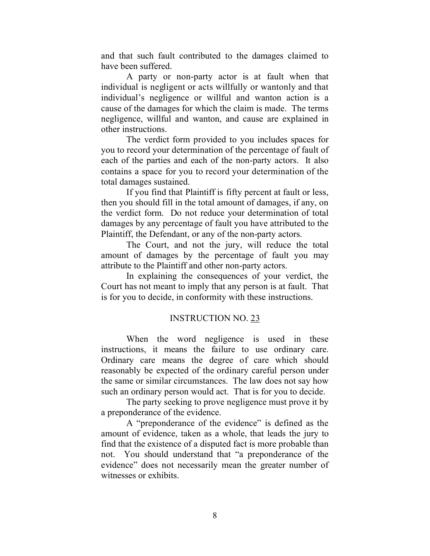and that such fault contributed to the damages claimed to have been suffered.

A party or non-party actor is at fault when that individual is negligent or acts willfully or wantonly and that individual's negligence or willful and wanton action is a cause of the damages for which the claim is made. The terms negligence, willful and wanton, and cause are explained in other instructions.

The verdict form provided to you includes spaces for you to record your determination of the percentage of fault of each of the parties and each of the non-party actors. It also contains a space for you to record your determination of the total damages sustained.

If you find that Plaintiff is fifty percent at fault or less, then you should fill in the total amount of damages, if any, on the verdict form. Do not reduce your determination of total damages by any percentage of fault you have attributed to the Plaintiff, the Defendant, or any of the non-party actors.

The Court, and not the jury, will reduce the total amount of damages by the percentage of fault you may attribute to the Plaintiff and other non-party actors.

In explaining the consequences of your verdict, the Court has not meant to imply that any person is at fault. That is for you to decide, in conformity with these instructions.

### INSTRUCTION NO. 23

When the word negligence is used in these instructions, it means the failure to use ordinary care. Ordinary care means the degree of care which should reasonably be expected of the ordinary careful person under the same or similar circumstances. The law does not say how such an ordinary person would act. That is for you to decide.

The party seeking to prove negligence must prove it by a preponderance of the evidence.

A "preponderance of the evidence" is defined as the amount of evidence, taken as a whole, that leads the jury to find that the existence of a disputed fact is more probable than not. You should understand that "a preponderance of the evidence" does not necessarily mean the greater number of witnesses or exhibits.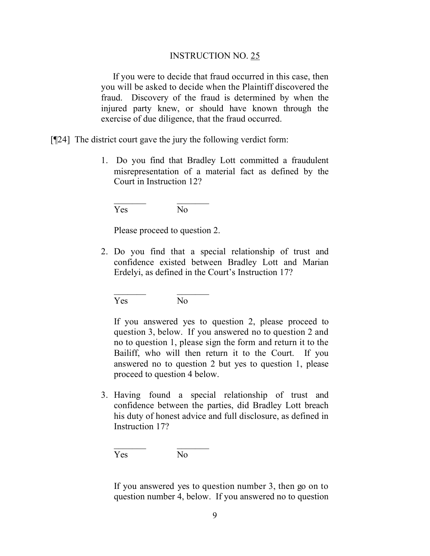#### INSTRUCTION NO. 25

 If you were to decide that fraud occurred in this case, then you will be asked to decide when the Plaintiff discovered the fraud. Discovery of the fraud is determined by when the injured party knew, or should have known through the exercise of due diligence, that the fraud occurred.

[¶24] The district court gave the jury the following verdict form:

1. Do you find that Bradley Lott committed a fraudulent misrepresentation of a material fact as defined by the Court in Instruction 12?

Yes No

Please proceed to question 2.

2. Do you find that a special relationship of trust and confidence existed between Bradley Lott and Marian Erdelyi, as defined in the Court's Instruction 17?

Yes No

If you answered yes to question 2, please proceed to question 3, below. If you answered no to question 2 and no to question 1, please sign the form and return it to the Bailiff, who will then return it to the Court. If you answered no to question 2 but yes to question 1, please proceed to question 4 below.

3. Having found a special relationship of trust and confidence between the parties, did Bradley Lott breach his duty of honest advice and full disclosure, as defined in Instruction 17?

Yes No

 $\frac{1}{2}$  ,  $\frac{1}{2}$  ,  $\frac{1}{2}$  ,  $\frac{1}{2}$  ,  $\frac{1}{2}$  ,  $\frac{1}{2}$  ,  $\frac{1}{2}$ 

If you answered yes to question number 3, then go on to question number 4, below. If you answered no to question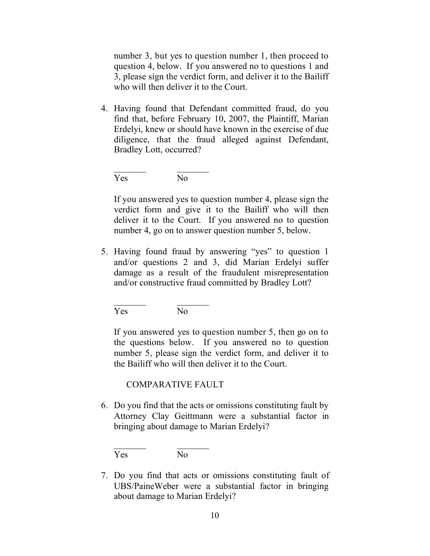number 3, but yes to question number 1, then proceed to question 4, below. If you answered no to questions 1 and 3, please sign the verdict form, and deliver it to the Bailiff who will then deliver it to the Court.

4. Having found that Defendant committed fraud, do you find that, before February 10, 2007, the Plaintiff, Marian Erdelyi, knew or should have known in the exercise of due diligence, that the fraud alleged against Defendant, Bradley Lott, occurred?

Yes No

If you answered yes to question number 4, please sign the verdict form and give it to the Bailiff who will then deliver it to the Court. If you answered no to question number 4, go on to answer question number 5, below.

5. Having found fraud by answering "yes" to question 1 and/or questions 2 and 3, did Marian Erdelyi suffer damage as a result of the fraudulent misrepresentation and/or constructive fraud committed by Bradley Lott?

Yes No

If you answered yes to question number 5, then go on to the questions below. If you answered no to question number 5, please sign the verdict form, and deliver it to the Bailiff who will then deliver it to the Court.

## COMPARATIVE FAULT

6. Do you find that the acts or omissions constituting fault by Attorney Clay Geittmann were a substantial factor in bringing about damage to Marian Erdelyi?

 $\frac{1}{2}$  ,  $\frac{1}{2}$  ,  $\frac{1}{2}$  ,  $\frac{1}{2}$  ,  $\frac{1}{2}$  ,  $\frac{1}{2}$  ,  $\frac{1}{2}$ Yes No

7. Do you find that acts or omissions constituting fault of UBS/PaineWeber were a substantial factor in bringing about damage to Marian Erdelyi?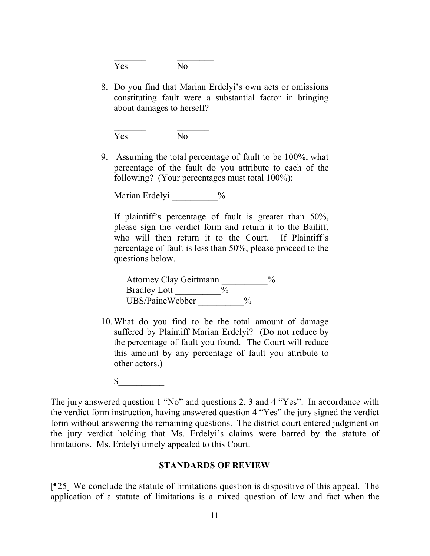$\frac{1}{2}$  ,  $\frac{1}{2}$  ,  $\frac{1}{2}$  ,  $\frac{1}{2}$  ,  $\frac{1}{2}$  ,  $\frac{1}{2}$  ,  $\frac{1}{2}$ Yes No

8. Do you find that Marian Erdelyi's own acts or omissions constituting fault were a substantial factor in bringing about damages to herself?

 $\frac{1}{2}$  ,  $\frac{1}{2}$  ,  $\frac{1}{2}$  ,  $\frac{1}{2}$  ,  $\frac{1}{2}$  ,  $\frac{1}{2}$  ,  $\frac{1}{2}$ Yes No

9. Assuming the total percentage of fault to be 100%, what percentage of the fault do you attribute to each of the following? (Your percentages must total 100%):

Marian Erdelyi  $\%$ 

If plaintiff's percentage of fault is greater than 50%, please sign the verdict form and return it to the Bailiff, who will then return it to the Court. If Plaintiff's percentage of fault is less than 50%, please proceed to the questions below.

Attorney Clay Geittmann  $\%$ Bradley Lott  $\frac{9}{6}$ UBS/PaineWebber %

- 10.What do you find to be the total amount of damage suffered by Plaintiff Marian Erdelyi? (Do not reduce by the percentage of fault you found. The Court will reduce this amount by any percentage of fault you attribute to other actors.)
	- $\mathbb S$

The jury answered question 1 "No" and questions 2, 3 and 4 "Yes". In accordance with the verdict form instruction, having answered question 4 "Yes" the jury signed the verdict form without answering the remaining questions. The district court entered judgment on the jury verdict holding that Ms. Erdelyi's claims were barred by the statute of limitations. Ms. Erdelyi timely appealed to this Court.

### **STANDARDS OF REVIEW**

[¶25] We conclude the statute of limitations question is dispositive of this appeal. The application of a statute of limitations is a mixed question of law and fact when the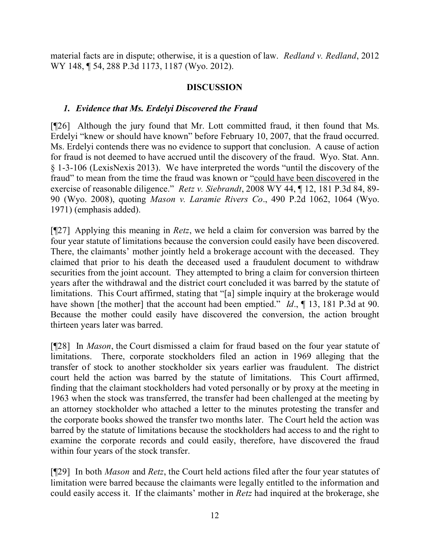material facts are in dispute; otherwise, it is a question of law. *Redland v. Redland*, 2012 WY 148, **[54, 288 P.3d 1173, 1187 (Wyo. 2012).** 

## **DISCUSSION**

# *1. Evidence that Ms. Erdelyi Discovered the Fraud*

[¶26] Although the jury found that Mr. Lott committed fraud, it then found that Ms. Erdelyi "knew or should have known" before February 10, 2007, that the fraud occurred. Ms. Erdelyi contends there was no evidence to support that conclusion. A cause of action for fraud is not deemed to have accrued until the discovery of the fraud. Wyo. Stat. Ann. § 1-3-106 (LexisNexis 2013). We have interpreted the words "until the discovery of the fraud" to mean from the time the fraud was known or "could have been discovered in the exercise of reasonable diligence." *Retz v. Siebrandt*, 2008 WY 44, ¶ 12, 181 P.3d 84, 89- 90 (Wyo. 2008), quoting *Mason v. Laramie Rivers Co*., 490 P.2d 1062, 1064 (Wyo. 1971) (emphasis added).

[¶27] Applying this meaning in *Retz*, we held a claim for conversion was barred by the four year statute of limitations because the conversion could easily have been discovered. There, the claimants' mother jointly held a brokerage account with the deceased. They claimed that prior to his death the deceased used a fraudulent document to withdraw securities from the joint account. They attempted to bring a claim for conversion thirteen years after the withdrawal and the district court concluded it was barred by the statute of limitations. This Court affirmed, stating that "[a] simple inquiry at the brokerage would have shown [the mother] that the account had been emptied." *Id.*, 13, 181 P.3d at 90. Because the mother could easily have discovered the conversion, the action brought thirteen years later was barred.

[¶28] In *Mason*, the Court dismissed a claim for fraud based on the four year statute of limitations. There, corporate stockholders filed an action in 1969 alleging that the transfer of stock to another stockholder six years earlier was fraudulent. The district court held the action was barred by the statute of limitations. This Court affirmed, finding that the claimant stockholders had voted personally or by proxy at the meeting in 1963 when the stock was transferred, the transfer had been challenged at the meeting by an attorney stockholder who attached a letter to the minutes protesting the transfer and the corporate books showed the transfer two months later. The Court held the action was barred by the statute of limitations because the stockholders had access to and the right to examine the corporate records and could easily, therefore, have discovered the fraud within four years of the stock transfer.

[¶29] In both *Mason* and *Retz*, the Court held actions filed after the four year statutes of limitation were barred because the claimants were legally entitled to the information and could easily access it. If the claimants' mother in *Retz* had inquired at the brokerage, she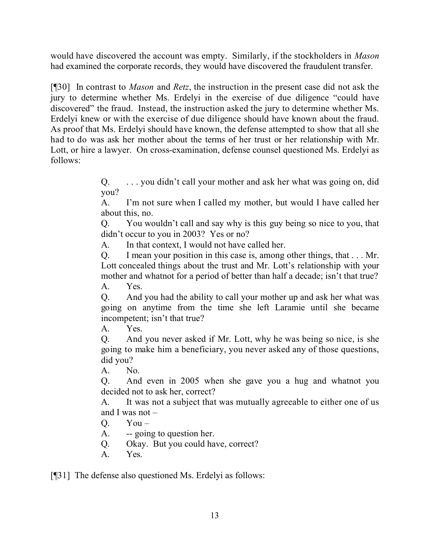would have discovered the account was empty. Similarly, if the stockholders in *Mason* had examined the corporate records, they would have discovered the fraudulent transfer.

[¶30] In contrast to *Mason* and *Retz*, the instruction in the present case did not ask the jury to determine whether Ms. Erdelyi in the exercise of due diligence "could have discovered" the fraud. Instead, the instruction asked the jury to determine whether Ms. Erdelyi knew or with the exercise of due diligence should have known about the fraud. As proof that Ms. Erdelyi should have known, the defense attempted to show that all she had to do was ask her mother about the terms of her trust or her relationship with Mr. Lott, or hire a lawyer. On cross-examination, defense counsel questioned Ms. Erdelyi as follows:

> Q. . . . you didn't call your mother and ask her what was going on, did you?

> A. I'm not sure when I called my mother, but would I have called her about this, no.

> Q. You wouldn't call and say why is this guy being so nice to you, that didn't occur to you in 2003? Yes or no?

A. In that context, I would not have called her.

Q. I mean your position in this case is, among other things, that . . . Mr. Lott concealed things about the trust and Mr. Lott's relationship with your mother and whatnot for a period of better than half a decade; isn't that true? A. Yes.

Q. And you had the ability to call your mother up and ask her what was going on anytime from the time she left Laramie until she became incompetent; isn't that true?

A. Yes.

Q. And you never asked if Mr. Lott, why he was being so nice, is she going to make him a beneficiary, you never asked any of those questions, did you?

A. No.

Q. And even in 2005 when she gave you a hug and whatnot you decided not to ask her, correct?

A. It was not a subject that was mutually agreeable to either one of us and I was not –

- $Q.$  You –
- A. -- going to question her.
- Q. Okay. But you could have, correct?
- A. Yes.

[¶31] The defense also questioned Ms. Erdelyi as follows: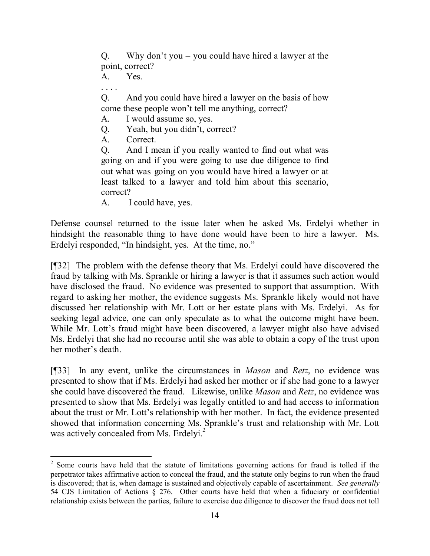Q. Why don't you – you could have hired a lawyer at the point, correct?

A. Yes.

Q. And you could have hired a lawyer on the basis of how come these people won't tell me anything, correct?

- A. I would assume so, yes.
- Q. Yeah, but you didn't, correct?
- A. Correct.

Q. And I mean if you really wanted to find out what was going on and if you were going to use due diligence to find out what was going on you would have hired a lawyer or at least talked to a lawyer and told him about this scenario, correct?

A. I could have, yes.

Defense counsel returned to the issue later when he asked Ms. Erdelyi whether in hindsight the reasonable thing to have done would have been to hire a lawyer. Ms. Erdelyi responded, "In hindsight, yes. At the time, no."

[¶32] The problem with the defense theory that Ms. Erdelyi could have discovered the fraud by talking with Ms. Sprankle or hiring a lawyer is that it assumes such action would have disclosed the fraud. No evidence was presented to support that assumption. With regard to asking her mother, the evidence suggests Ms. Sprankle likely would not have discussed her relationship with Mr. Lott or her estate plans with Ms. Erdelyi. As for seeking legal advice, one can only speculate as to what the outcome might have been. While Mr. Lott's fraud might have been discovered, a lawyer might also have advised Ms. Erdelyi that she had no recourse until she was able to obtain a copy of the trust upon her mother's death.

[¶33] In any event, unlike the circumstances in *Mason* and *Retz*, no evidence was presented to show that if Ms. Erdelyi had asked her mother or if she had gone to a lawyer she could have discovered the fraud. Likewise, unlike *Mason* and *Retz*, no evidence was presented to show that Ms. Erdelyi was legally entitled to and had access to information about the trust or Mr. Lott's relationship with her mother. In fact, the evidence presented showed that information concerning Ms. Sprankle's trust and relationship with Mr. Lott was actively concealed from Ms. Erdelyi.<sup>2</sup>

<sup>&</sup>lt;sup>2</sup> Some courts have held that the statute of limitations governing actions for fraud is tolled if the perpetrator takes affirmative action to conceal the fraud, and the statute only begins to run when the fraud is discovered; that is, when damage is sustained and objectively capable of ascertainment. *See generally* 54 CJS Limitation of Actions § 276. Other courts have held that when a fiduciary or confidential relationship exists between the parties, failure to exercise due diligence to discover the fraud does not toll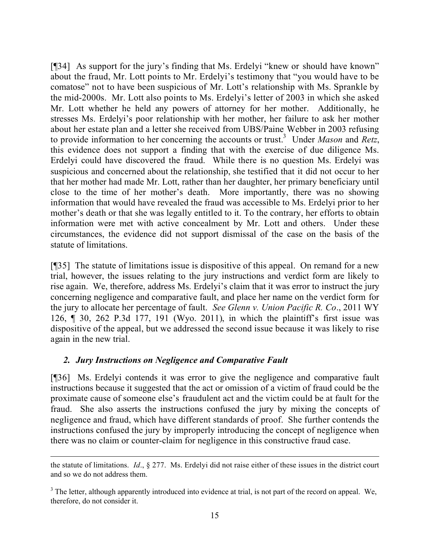[¶34] As support for the jury's finding that Ms. Erdelyi "knew or should have known" about the fraud, Mr. Lott points to Mr. Erdelyi's testimony that "you would have to be comatose" not to have been suspicious of Mr. Lott's relationship with Ms. Sprankle by the mid-2000s. Mr. Lott also points to Ms. Erdelyi's letter of 2003 in which she asked Mr. Lott whether he held any powers of attorney for her mother. Additionally, he stresses Ms. Erdelyi's poor relationship with her mother, her failure to ask her mother about her estate plan and a letter she received from UBS/Paine Webber in 2003 refusing to provide information to her concerning the accounts or trust.<sup>3</sup> Under *Mason* and *Retz*, this evidence does not support a finding that with the exercise of due diligence Ms. Erdelyi could have discovered the fraud. While there is no question Ms. Erdelyi was suspicious and concerned about the relationship, she testified that it did not occur to her that her mother had made Mr. Lott, rather than her daughter, her primary beneficiary until close to the time of her mother's death. More importantly, there was no showing information that would have revealed the fraud was accessible to Ms. Erdelyi prior to her mother's death or that she was legally entitled to it. To the contrary, her efforts to obtain information were met with active concealment by Mr. Lott and others. Under these circumstances, the evidence did not support dismissal of the case on the basis of the statute of limitations.

[¶35] The statute of limitations issue is dispositive of this appeal. On remand for a new trial, however, the issues relating to the jury instructions and verdict form are likely to rise again. We, therefore, address Ms. Erdelyi's claim that it was error to instruct the jury concerning negligence and comparative fault, and place her name on the verdict form for the jury to allocate her percentage of fault. *See Glenn v. Union Pacific R. Co*., 2011 WY 126, ¶ 30, 262 P.3d 177, 191 (Wyo. 2011), in which the plaintiff's first issue was dispositive of the appeal, but we addressed the second issue because it was likely to rise again in the new trial.

## *2. Jury Instructions on Negligence and Comparative Fault*

[¶36] Ms. Erdelyi contends it was error to give the negligence and comparative fault instructions because it suggested that the act or omission of a victim of fraud could be the proximate cause of someone else's fraudulent act and the victim could be at fault for the fraud. She also asserts the instructions confused the jury by mixing the concepts of negligence and fraud, which have different standards of proof. She further contends the instructions confused the jury by improperly introducing the concept of negligence when there was no claim or counter-claim for negligence in this constructive fraud case.

the statute of limitations. *Id*., § 277. Ms. Erdelyi did not raise either of these issues in the district court and so we do not address them.

<sup>&</sup>lt;sup>3</sup> The letter, although apparently introduced into evidence at trial, is not part of the record on appeal. We, therefore, do not consider it.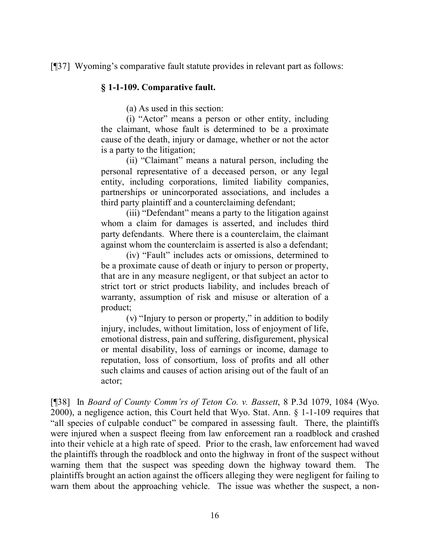[¶37] Wyoming's comparative fault statute provides in relevant part as follows:

### **§ 1-1-109. Comparative fault.**

(a) As used in this section:

(i) "Actor" means a person or other entity, including the claimant, whose fault is determined to be a proximate cause of the death, injury or damage, whether or not the actor is a party to the litigation;

(ii) "Claimant" means a natural person, including the personal representative of a deceased person, or any legal entity, including corporations, limited liability companies, partnerships or unincorporated associations, and includes a third party plaintiff and a counterclaiming defendant;

(iii) "Defendant" means a party to the litigation against whom a claim for damages is asserted, and includes third party defendants. Where there is a counterclaim, the claimant against whom the counterclaim is asserted is also a defendant;

(iv) "Fault" includes acts or omissions, determined to be a proximate cause of death or injury to person or property, that are in any measure negligent, or that subject an actor to strict tort or strict products liability, and includes breach of warranty, assumption of risk and misuse or alteration of a product;

(v) "Injury to person or property," in addition to bodily injury, includes, without limitation, loss of enjoyment of life, emotional distress, pain and suffering, disfigurement, physical or mental disability, loss of earnings or income, damage to reputation, loss of consortium, loss of profits and all other such claims and causes of action arising out of the fault of an actor;

[¶38] In *Board of County Comm'rs of Teton Co. v. Bassett*, 8 P.3d 1079, 1084 (Wyo. 2000), a negligence action, this Court held that Wyo. Stat. Ann. § 1-1-109 requires that "all species of culpable conduct" be compared in assessing fault. There, the plaintiffs were injured when a suspect fleeing from law enforcement ran a roadblock and crashed into their vehicle at a high rate of speed. Prior to the crash, law enforcement had waved the plaintiffs through the roadblock and onto the highway in front of the suspect without warning them that the suspect was speeding down the highway toward them. The plaintiffs brought an action against the officers alleging they were negligent for failing to warn them about the approaching vehicle. The issue was whether the suspect, a non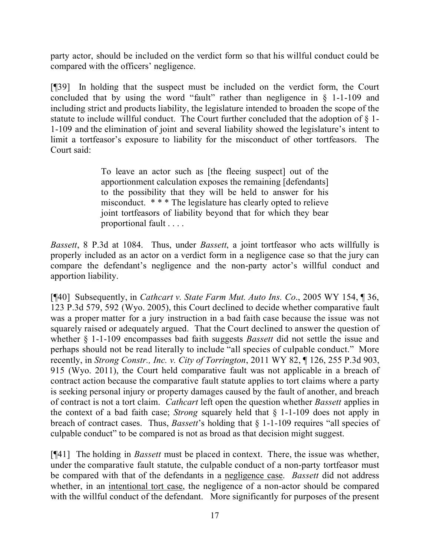party actor, should be included on the verdict form so that his willful conduct could be compared with the officers' negligence.

[¶39] In holding that the suspect must be included on the verdict form, the Court concluded that by using the word "fault" rather than negligence in § 1-1-109 and including strict and products liability, the legislature intended to broaden the scope of the statute to include willful conduct. The Court further concluded that the adoption of § 1- 1-109 and the elimination of joint and several liability showed the legislature's intent to limit a tortfeasor's exposure to liability for the misconduct of other tortfeasors. The Court said:

> To leave an actor such as [the fleeing suspect] out of the apportionment calculation exposes the remaining [defendants] to the possibility that they will be held to answer for his misconduct. \* \* \* The legislature has clearly opted to relieve joint tortfeasors of liability beyond that for which they bear proportional fault . . . .

*Bassett*, 8 P.3d at 1084. Thus, under *Bassett*, a joint tortfeasor who acts willfully is properly included as an actor on a verdict form in a negligence case so that the jury can compare the defendant's negligence and the non-party actor's willful conduct and apportion liability.

[¶40] Subsequently, in *Cathcart v. State Farm Mut. Auto Ins. Co*., 2005 WY 154, ¶ 36, 123 P.3d 579, 592 (Wyo. 2005), this Court declined to decide whether comparative fault was a proper matter for a jury instruction in a bad faith case because the issue was not squarely raised or adequately argued. That the Court declined to answer the question of whether § 1-1-109 encompasses bad faith suggests *Bassett* did not settle the issue and perhaps should not be read literally to include "all species of culpable conduct." More recently, in *Strong Constr., Inc. v. City of Torrington*, 2011 WY 82, ¶ 126, 255 P.3d 903, 915 (Wyo. 2011), the Court held comparative fault was not applicable in a breach of contract action because the comparative fault statute applies to tort claims where a party is seeking personal injury or property damages caused by the fault of another, and breach of contract is not a tort claim. *Cathcart* left open the question whether *Bassett* applies in the context of a bad faith case; *Strong* squarely held that § 1-1-109 does not apply in breach of contract cases. Thus, *Bassett*'s holding that § 1-1-109 requires "all species of culpable conduct" to be compared is not as broad as that decision might suggest.

[¶41] The holding in *Bassett* must be placed in context. There, the issue was whether, under the comparative fault statute, the culpable conduct of a non-party tortfeasor must be compared with that of the defendants in a negligence case. *Bassett* did not address whether, in an intentional tort case, the negligence of a non-actor should be compared with the willful conduct of the defendant. More significantly for purposes of the present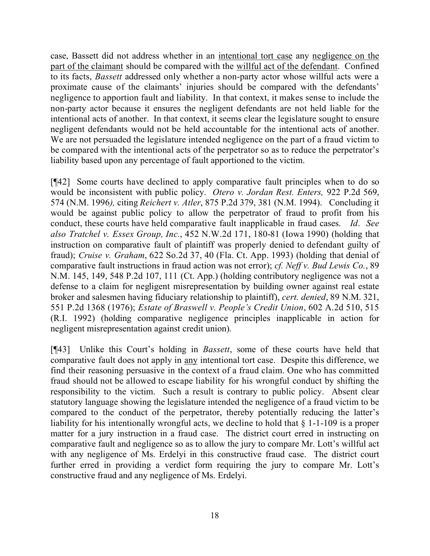case, Bassett did not address whether in an intentional tort case any negligence on the part of the claimant should be compared with the willful act of the defendant. Confined to its facts, *Bassett* addressed only whether a non-party actor whose willful acts were a proximate cause of the claimants' injuries should be compared with the defendants' negligence to apportion fault and liability. In that context, it makes sense to include the non-party actor because it ensures the negligent defendants are not held liable for the intentional acts of another. In that context, it seems clear the legislature sought to ensure negligent defendants would not be held accountable for the intentional acts of another. We are not persuaded the legislature intended negligence on the part of a fraud victim to be compared with the intentional acts of the perpetrator so as to reduce the perpetrator's liability based upon any percentage of fault apportioned to the victim.

[¶42] Some courts have declined to apply comparative fault principles when to do so would be inconsistent with public policy. *Otero v. Jordan Rest. Enters,* 922 P.2d 569, 574 (N.M. 1996*),* citing *Reichert v. Atler*, 875 P.2d 379, 381 (N.M. 1994). Concluding it would be against public policy to allow the perpetrator of fraud to profit from his conduct, these courts have held comparative fault inapplicable in fraud cases. *Id*. *See also Tratchel v. Essex Group, Inc.*, 452 N.W.2d 171, 180-81 (Iowa 1990) (holding that instruction on comparative fault of plaintiff was properly denied to defendant guilty of fraud); *Cruise v. Graham*, 622 So.2d 37, 40 (Fla. Ct. App. 1993) (holding that denial of comparative fault instructions in fraud action was not error); *cf. Neff v. Bud Lewis Co.*, 89 N.M. 145, 149, 548 P.2d 107, 111 (Ct. App.) (holding contributory negligence was not a defense to a claim for negligent misrepresentation by building owner against real estate broker and salesmen having fiduciary relationship to plaintiff), *cert. denied*, 89 N.M. 321, 551 P.2d 1368 (1976); *Estate of Braswell v. People's Credit Union*, 602 A.2d 510, 515 (R.I. 1992) (holding comparative negligence principles inapplicable in action for negligent misrepresentation against credit union).

[¶43] Unlike this Court's holding in *Bassett*, some of these courts have held that comparative fault does not apply in any intentional tort case. Despite this difference, we find their reasoning persuasive in the context of a fraud claim. One who has committed fraud should not be allowed to escape liability for his wrongful conduct by shifting the responsibility to the victim. Such a result is contrary to public policy. Absent clear statutory language showing the legislature intended the negligence of a fraud victim to be compared to the conduct of the perpetrator, thereby potentially reducing the latter's liability for his intentionally wrongful acts, we decline to hold that  $\S 1$ -1-109 is a proper matter for a jury instruction in a fraud case. The district court erred in instructing on comparative fault and negligence so as to allow the jury to compare Mr. Lott's willful act with any negligence of Ms. Erdelyi in this constructive fraud case. The district court further erred in providing a verdict form requiring the jury to compare Mr. Lott's constructive fraud and any negligence of Ms. Erdelyi.